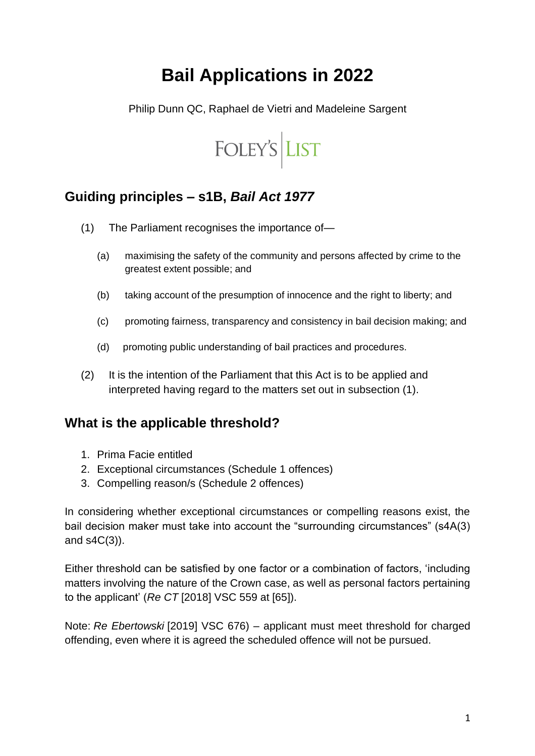# **Bail Applications in 2022**

Philip Dunn QC, Raphael de Vietri and Madeleine Sargent



## **Guiding principles – s1B,** *Bail Act 1977*

- (1) The Parliament recognises the importance of—
	- (a) maximising the safety of the community and persons affected by crime to the greatest extent possible; and
	- (b) taking account of the presumption of innocence and the right to liberty; and
	- (c) promoting fairness, transparency and consistency in bail decision making; and
	- (d) promoting public understanding of bail practices and procedures.
- (2) It is the intention of the Parliament that this Act is to be applied and interpreted having regard to the matters set out in subsection (1).

## **What is the applicable threshold?**

- 1. Prima Facie entitled
- 2. Exceptional circumstances (Schedule 1 offences)
- 3. Compelling reason/s (Schedule 2 offences)

In considering whether exceptional circumstances or compelling reasons exist, the bail decision maker must take into account the "surrounding circumstances" (s4A(3) and s4C(3)).

Either threshold can be satisfied by one factor or a combination of factors, 'including matters involving the nature of the Crown case, as well as personal factors pertaining to the applicant' (*Re CT* [2018] VSC 559 at [65]).

Note: *Re Ebertowski* [2019] VSC 676) – applicant must meet threshold for charged offending, even where it is agreed the scheduled offence will not be pursued.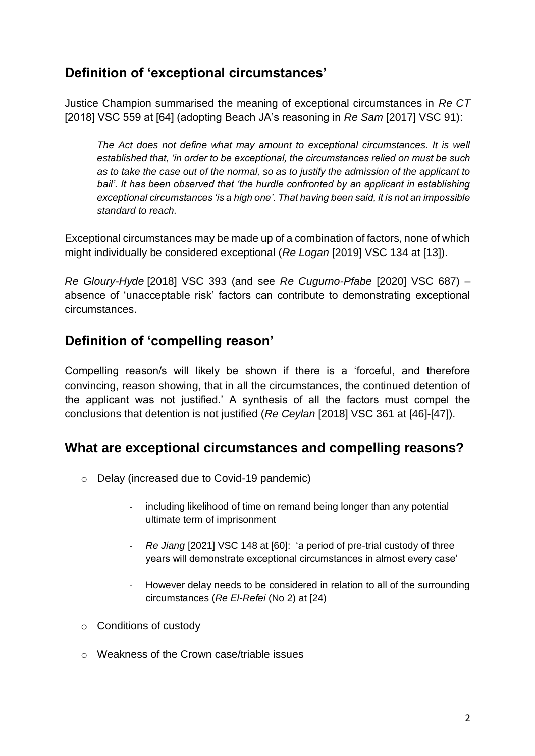## **Definition of 'exceptional circumstances'**

Justice Champion summarised the meaning of exceptional circumstances in *Re CT* [2018] VSC 559 at [64] (adopting Beach JA's reasoning in *Re Sam* [2017] VSC 91):

The Act does not define what may amount to exceptional circumstances. It is well *established that, 'in order to be exceptional, the circumstances relied on must be such as to take the case out of the normal, so as to justify the admission of the applicant to*  bail'. It has been observed that 'the hurdle confronted by an applicant in establishing *exceptional circumstances 'is a high one'. That having been said, it is not an impossible standard to reach.*

Exceptional circumstances may be made up of a combination of factors, none of which might individually be considered exceptional (*Re Logan* [2019] VSC 134 at [13]).

*Re Gloury-Hyde* [2018] VSC 393 (and see *Re Cugurno-Pfabe* [2020] VSC 687) – absence of 'unacceptable risk' factors can contribute to demonstrating exceptional circumstances.

### **Definition of 'compelling reason'**

Compelling reason/s will likely be shown if there is a 'forceful, and therefore convincing, reason showing, that in all the circumstances, the continued detention of the applicant was not justified.' A synthesis of all the factors must compel the conclusions that detention is not justified (*Re Ceylan* [2018] VSC 361 at [46]-[47]).

#### **What are exceptional circumstances and compelling reasons?**

- o Delay (increased due to Covid-19 pandemic)
	- including likelihood of time on remand being longer than any potential ultimate term of imprisonment
	- *Re Jiang* [2021] VSC 148 at [60]: 'a period of pre-trial custody of three years will demonstrate exceptional circumstances in almost every case'
	- However delay needs to be considered in relation to all of the surrounding circumstances (*Re El-Refei* (No 2) at [24)
- o Conditions of custody
- o Weakness of the Crown case/triable issues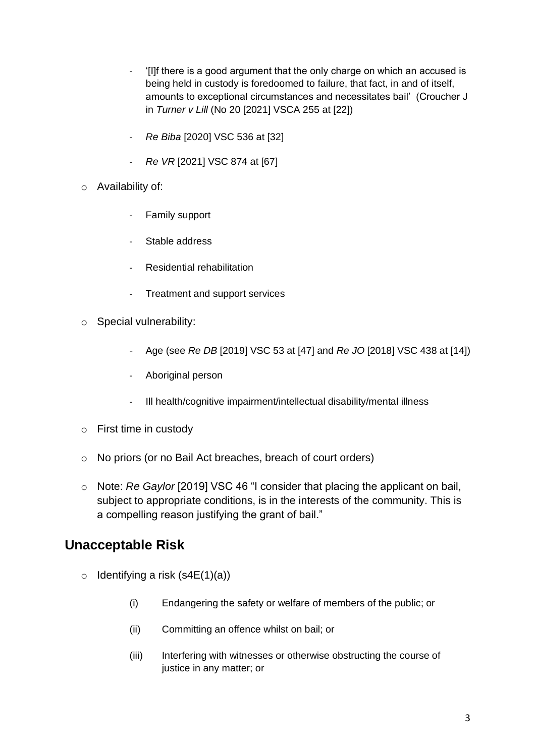- '[I]f there is a good argument that the only charge on which an accused is being held in custody is foredoomed to failure, that fact, in and of itself, amounts to exceptional circumstances and necessitates bail' (Croucher J in *Turner v Lill* (No 20 [2021] VSCA 255 at [22])
- *Re Biba* [2020] VSC 536 at [32]
- *Re VR* [2021] VSC 874 at [67]
- o Availability of:
	- Family support
	- Stable address
	- Residential rehabilitation
	- Treatment and support services
- o Special vulnerability:
	- Age (see *Re DB* [2019] VSC 53 at [47] and *Re JO* [2018] VSC 438 at [14])
	- Aboriginal person
	- III health/cognitive impairment/intellectual disability/mental illness
- o First time in custody
- o No priors (or no Bail Act breaches, breach of court orders)
- o Note: *Re Gaylor* [2019] VSC 46 "I consider that placing the applicant on bail, subject to appropriate conditions, is in the interests of the community. This is a compelling reason justifying the grant of bail."

#### **Unacceptable Risk**

- $\circ$  Identifying a risk (s4E(1)(a))
	- (i) Endangering the safety or welfare of members of the public; or
	- (ii) Committing an offence whilst on bail; or
	- (iii) Interfering with witnesses or otherwise obstructing the course of justice in any matter; or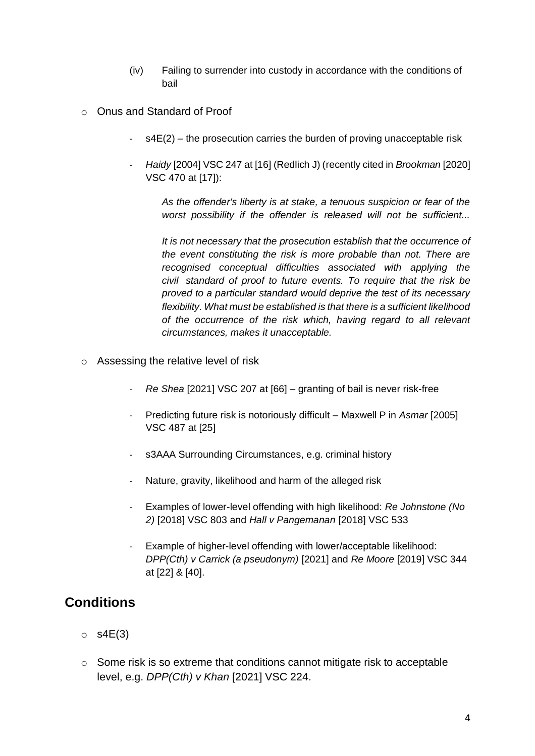- (iv) Failing to surrender into custody in accordance with the conditions of bail
- o Onus and Standard of Proof
	- $s4E(2)$  the prosecution carries the burden of proving unacceptable risk
	- *Haidy* [2004] VSC 247 at [16] (Redlich J) (recently cited in *Brookman* [2020] VSC 470 at [17]):

*As the offender's liberty is at stake, a tenuous suspicion or fear of the worst possibility if the offender is released will not be sufficient...*

*It is not necessary that the prosecution establish that the occurrence of the event constituting the risk is more probable than not. There are recognised conceptual difficulties associated with applying the civil standard of proof to future events. To require that the risk be proved to a particular standard would deprive the test of its necessary flexibility. What must be established is that there is a sufficient likelihood of the occurrence of the risk which, having regard to all relevant circumstances, makes it unacceptable.*

- o Assessing the relative level of risk
	- *Re Shea* [2021] VSC 207 at [66] granting of bail is never risk-free
	- Predicting future risk is notoriously difficult Maxwell P in *Asmar* [2005] VSC 487 at [25]
	- s3AAA Surrounding Circumstances, e.g. criminal history
	- Nature, gravity, likelihood and harm of the alleged risk
	- Examples of lower-level offending with high likelihood: *Re Johnstone (No 2)* [2018] VSC 803 and *Hall v Pangemanan* [2018] VSC 533
	- Example of higher-level offending with lower/acceptable likelihood: *DPP(Cth) v Carrick (a pseudonym)* [2021] and *Re Moore* [2019] VSC 344 at [22] & [40].

#### **Conditions**

- $\circ$  s4E(3)
- $\circ$  Some risk is so extreme that conditions cannot mitigate risk to acceptable level, e.g. *DPP(Cth) v Khan* [2021] VSC 224.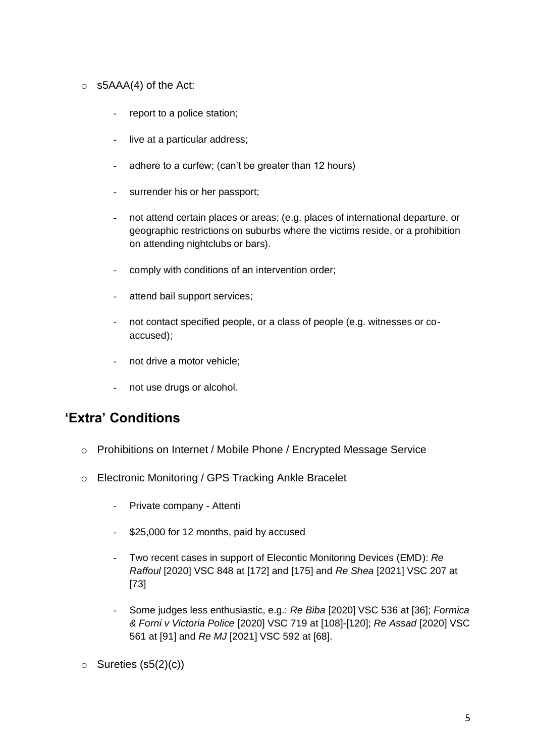- $\circ$  s5AAA(4) of the Act:
	- report to a police station;
	- live at a particular address;
	- adhere to a curfew; (can't be greater than 12 hours)
	- surrender his or her passport;
	- not attend certain places or areas; (e.g. places of international departure, or geographic restrictions on suburbs where the victims reside, or a prohibition on attending nightclubs or bars).
	- comply with conditions of an intervention order;
	- attend bail support services;
	- not contact specified people, or a class of people (e.g. witnesses or coaccused);
	- not drive a motor vehicle;
	- not use drugs or alcohol.

#### **'Extra' Conditions**

- o Prohibitions on Internet / Mobile Phone / Encrypted Message Service
- o Electronic Monitoring / GPS Tracking Ankle Bracelet
	- Private company Attenti
	- \$25,000 for 12 months, paid by accused
	- Two recent cases in support of Elecontic Monitoring Devices (EMD): *Re Raffoul* [2020] VSC 848 at [172] and [175] and *Re Shea* [2021] VSC 207 at [73]
	- Some judges less enthusiastic, e.g.: *Re Biba* [2020] VSC 536 at [36]; *Formica & Forni v Victoria Police* [2020] VSC 719 at [108]-[120]; *Re Assad* [2020] VSC 561 at [91] and *Re MJ* [2021] VSC 592 at [68].
- o Sureties (s5(2)(c))